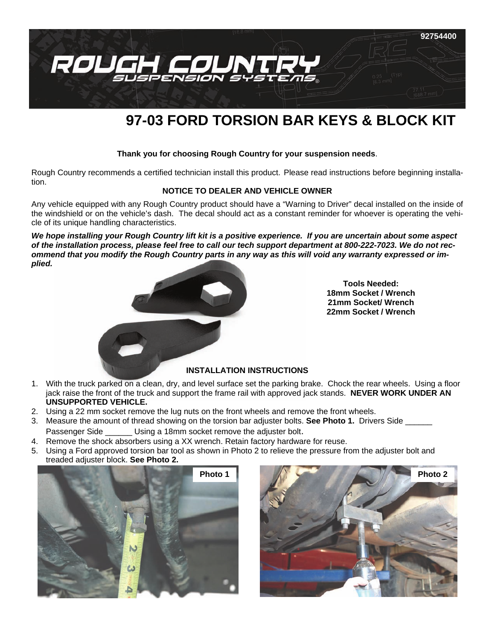

# **97-03 FORD TORSION BAR KEYS & BLOCK KIT**

#### **Thank you for choosing Rough Country for your suspension needs**.

Rough Country recommends a certified technician install this product. Please read instructions before beginning installation.

#### **NOTICE TO DEALER AND VEHICLE OWNER**

Any vehicle equipped with any Rough Country product should have a "Warning to Driver" decal installed on the inside of the windshield or on the vehicle's dash. The decal should act as a constant reminder for whoever is operating the vehicle of its unique handling characteristics.

*We hope installing your Rough Country lift kit is a positive experience. If you are uncertain about some aspect of the installation process, please feel free to call our tech support department at 800-222-7023. We do not recommend that you modify the Rough Country parts in any way as this will void any warranty expressed or implied.*



**Tools Needed: 18mm Socket / Wrench 21mm Socket/ Wrench 22mm Socket / Wrench** 

#### **INSTALLATION INSTRUCTIONS**

- 1. With the truck parked on a clean, dry, and level surface set the parking brake. Chock the rear wheels. Using a floor jack raise the front of the truck and support the frame rail with approved jack stands. **NEVER WORK UNDER AN UNSUPPORTED VEHICLE.**
- 2. Using a 22 mm socket remove the lug nuts on the front wheels and remove the front wheels.
- 3. Measure the amount of thread showing on the torsion bar adjuster bolts. **See Photo 1.** Drivers Side \_\_\_\_\_\_ Passenger Side \_\_\_\_\_\_ Using a 18mm socket remove the adjuster bolt.
- 4. Remove the shock absorbers using a XX wrench. Retain factory hardware for reuse.
- 5. Using a Ford approved torsion bar tool as shown in Photo 2 to relieve the pressure from the adjuster bolt and treaded adjuster block. **See Photo 2.**